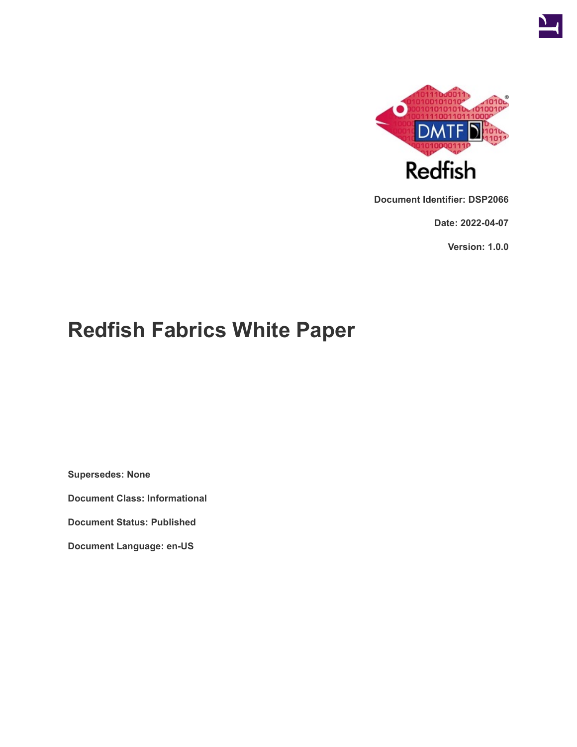

**Document Identifier: DSP2066**

**Date: 2022-04-07**

**Version: 1.0.0**

# **Redfish Fabrics White Paper**

**Supersedes: None**

**Document Class: Informational**

**Document Status: Published**

**Document Language: en-US**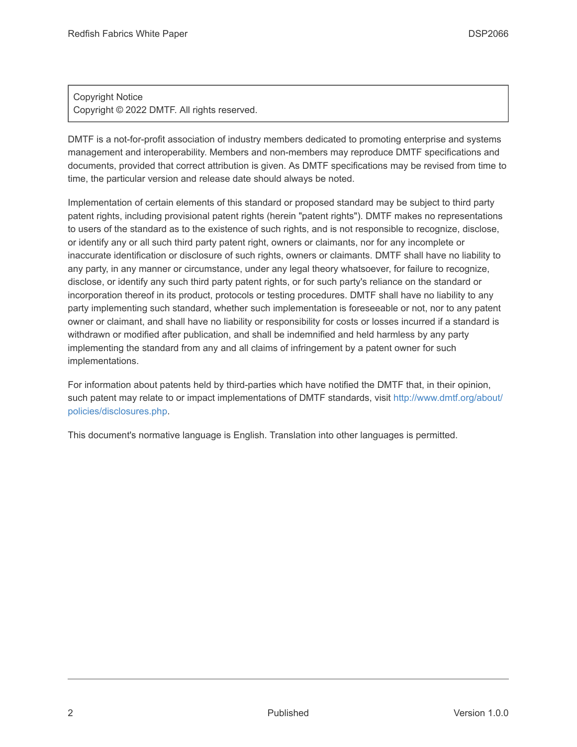#### Copyright Notice Copyright © 2022 DMTF. All rights reserved.

DMTF is a not-for-profit association of industry members dedicated to promoting enterprise and systems management and interoperability. Members and non-members may reproduce DMTF specifications and documents, provided that correct attribution is given. As DMTF specifications may be revised from time to time, the particular version and release date should always be noted.

Implementation of certain elements of this standard or proposed standard may be subject to third party patent rights, including provisional patent rights (herein "patent rights"). DMTF makes no representations to users of the standard as to the existence of such rights, and is not responsible to recognize, disclose, or identify any or all such third party patent right, owners or claimants, nor for any incomplete or inaccurate identification or disclosure of such rights, owners or claimants. DMTF shall have no liability to any party, in any manner or circumstance, under any legal theory whatsoever, for failure to recognize, disclose, or identify any such third party patent rights, or for such party's reliance on the standard or incorporation thereof in its product, protocols or testing procedures. DMTF shall have no liability to any party implementing such standard, whether such implementation is foreseeable or not, nor to any patent owner or claimant, and shall have no liability or responsibility for costs or losses incurred if a standard is withdrawn or modified after publication, and shall be indemnified and held harmless by any party implementing the standard from any and all claims of infringement by a patent owner for such implementations.

For information about patents held by third-parties which have notified the DMTF that, in their opinion, such patent may relate to or impact implementations of DMTF standards, visit [http://www.dmtf.org/about/](http://www.dmtf.org/about/policies/disclosures.php) [policies/disclosures.php.](http://www.dmtf.org/about/policies/disclosures.php)

This document's normative language is English. Translation into other languages is permitted.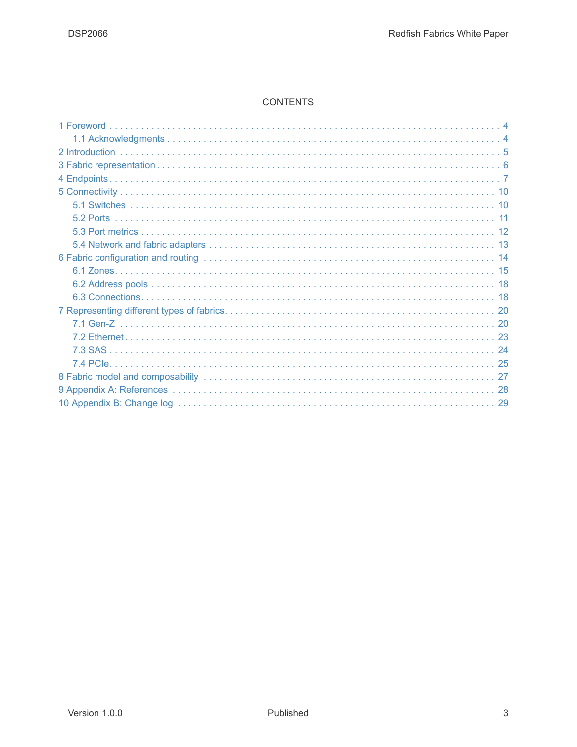#### **CONTENTS**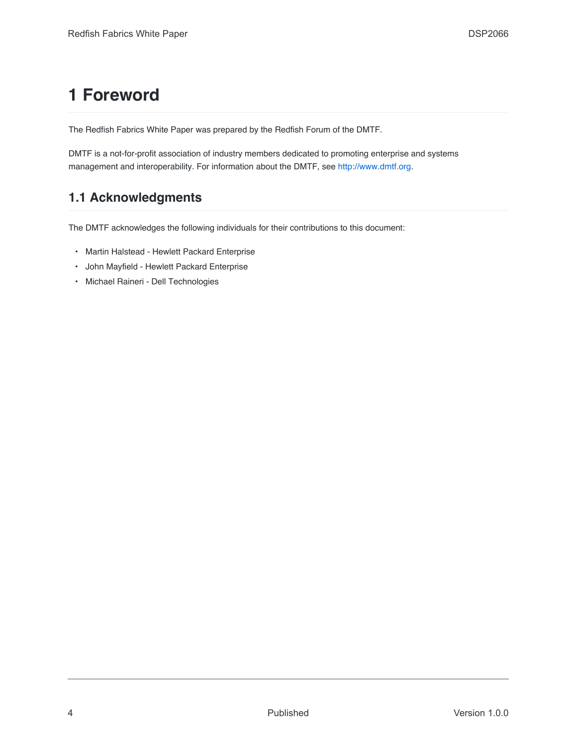## <span id="page-3-0"></span>**1 Foreword**

The Redfish Fabrics White Paper was prepared by the Redfish Forum of the DMTF.

DMTF is a not-for-profit association of industry members dedicated to promoting enterprise and systems management and interoperability. For information about the DMTF, see [http://www.dmtf.org](http://www.dmtf.org/).

#### <span id="page-3-1"></span>**1.1 Acknowledgments**

The DMTF acknowledges the following individuals for their contributions to this document:

- Martin Halstead Hewlett Packard Enterprise
- John Mayfield Hewlett Packard Enterprise
- Michael Raineri Dell Technologies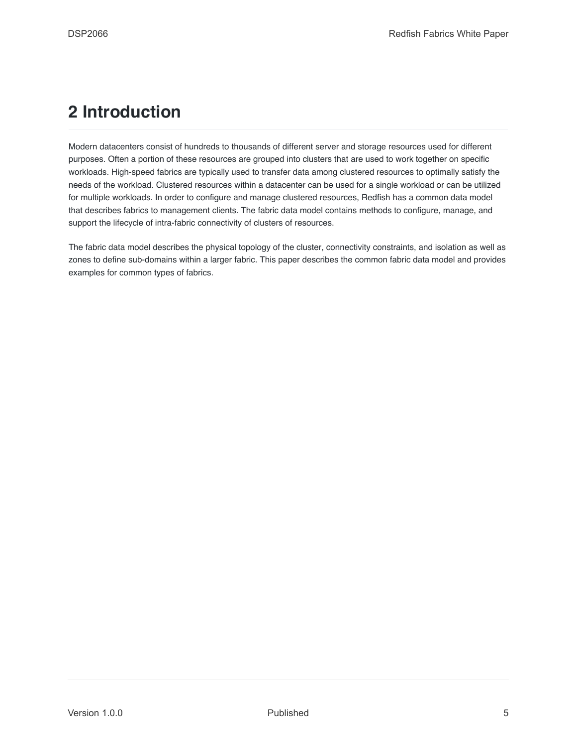### <span id="page-4-0"></span>**2 Introduction**

Modern datacenters consist of hundreds to thousands of different server and storage resources used for different purposes. Often a portion of these resources are grouped into clusters that are used to work together on specific workloads. High-speed fabrics are typically used to transfer data among clustered resources to optimally satisfy the needs of the workload. Clustered resources within a datacenter can be used for a single workload or can be utilized for multiple workloads. In order to configure and manage clustered resources, Redfish has a common data model that describes fabrics to management clients. The fabric data model contains methods to configure, manage, and support the lifecycle of intra-fabric connectivity of clusters of resources.

The fabric data model describes the physical topology of the cluster, connectivity constraints, and isolation as well as zones to define sub-domains within a larger fabric. This paper describes the common fabric data model and provides examples for common types of fabrics.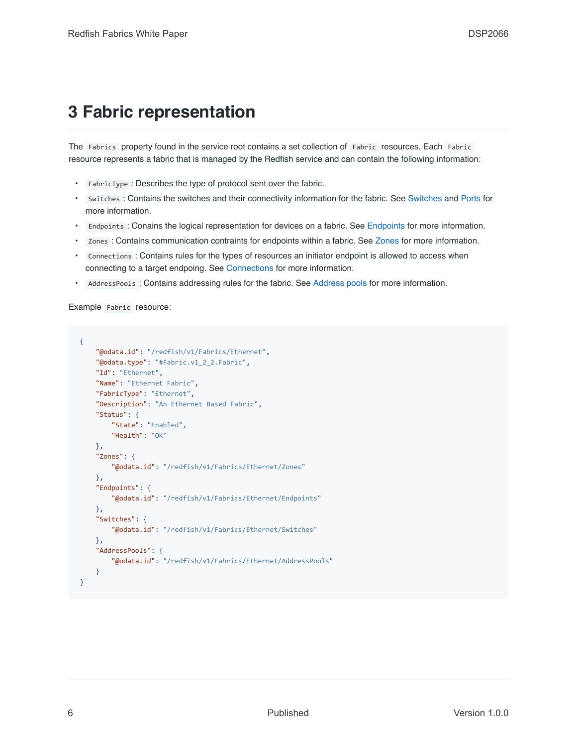### <span id="page-5-0"></span>**3 Fabric representation**

The Fabrics property found in the service root contains a set collection of Fabric resources. Each Fabric resource represents a fabric that is managed by the Redfish service and can contain the following information:

- FabricType : Describes the type of protocol sent over the fabric.
- Switches : Contains the switches and their connectivity information for the fabric. See [Switches](#page-9-1) and [Ports](#page-10-0) for more information.
- Endpoints : Conains the logical representation for devices on a fabric. See [Endpoints](#page-6-0) for more information.
- Zones : Contains communication contraints for endpoints within a fabric. See [Zones](#page-14-0) for more information.
- Connections : Contains rules for the types of resources an initiator endpoint is allowed to access when connecting to a target endpoing. See [Connections](#page-17-1) for more information.
- AddressPools : Contains addressing rules for the fabric. See [Address pools](#page-17-0) for more information.

Example Fabric resource:

```
{
    "@odata.id": "/redfish/v1/Fabrics/Ethernet",
    "@odata.type": "#Fabric.v1_2_2.Fabric",
    "Id": "Ethernet",
    "Name": "Ethernet Fabric",
    "FabricType": "Ethernet",
    "Description": "An Ethernet Based Fabric",
    "Status": {
        "State": "Enabled",
        "Health": "OK"
    },
    "Zones": {
        "@odata.id": "/redfish/v1/Fabrics/Ethernet/Zones"
    },
    "Endpoints": {
        "@odata.id": "/redfish/v1/Fabrics/Ethernet/Endpoints"
    },
    "Switches": {
        "@odata.id": "/redfish/v1/Fabrics/Ethernet/Switches"
    },
    "AddressPools": {
        "@odata.id": "/redfish/v1/Fabrics/Ethernet/AddressPools"
    }
}
```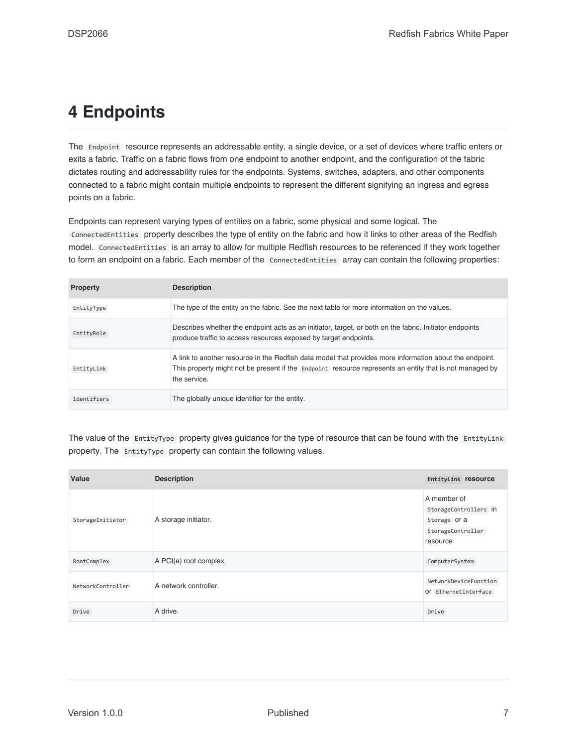### <span id="page-6-0"></span>**4 Endpoints**

The Endpoint resource represents an addressable entity, a single device, or a set of devices where traffic enters or exits a fabric. Traffic on a fabric flows from one endpoint to another endpoint, and the configuration of the fabric dictates routing and addressability rules for the endpoints. Systems, switches, adapters, and other components connected to a fabric might contain multiple endpoints to represent the different signifying an ingress and egress points on a fabric.

Endpoints can represent varying types of entities on a fabric, some physical and some logical. The ConnectedEntities property describes the type of entity on the fabric and how it links to other areas of the Redfish model. ConnectedEntities is an array to allow for multiple Redfish resources to be referenced if they work together to form an endpoint on a fabric. Each member of the ConnectedEntities array can contain the following properties:

| <b>Property</b> | <b>Description</b>                                                                                                                                                                                                                 |
|-----------------|------------------------------------------------------------------------------------------------------------------------------------------------------------------------------------------------------------------------------------|
| EntityType      | The type of the entity on the fabric. See the next table for more information on the values.                                                                                                                                       |
| EntityRole      | Describes whether the endpoint acts as an initiator, target, or both on the fabric. Initiator endpoints<br>produce traffic to access resources exposed by target endpoints.                                                        |
| EntityLink      | A link to another resource in the Redfish data model that provides more information about the endpoint.<br>This property might not be present if the Endpoint resource represents an entity that is not managed by<br>the service. |
| Identifiers     | The globally unique identifier for the entity.                                                                                                                                                                                     |

The value of the EntityType property gives guidance for the type of resource that can be found with the EntityLink property. The EntityType property can contain the following values.

| Value             | <b>Description</b>     | EntityLink resource                                                                   |
|-------------------|------------------------|---------------------------------------------------------------------------------------|
| StorageInitiator  | A storage initiator.   | A member of<br>StorageControllers in<br>Storage Or a<br>StorageController<br>resource |
| RootComplex       | A PCI(e) root complex. | ComputerSystem                                                                        |
| NetworkController | A network controller.  | NetworkDeviceFunction<br>Of EthernetInterface                                         |
| Drive             | A drive.               | Drive                                                                                 |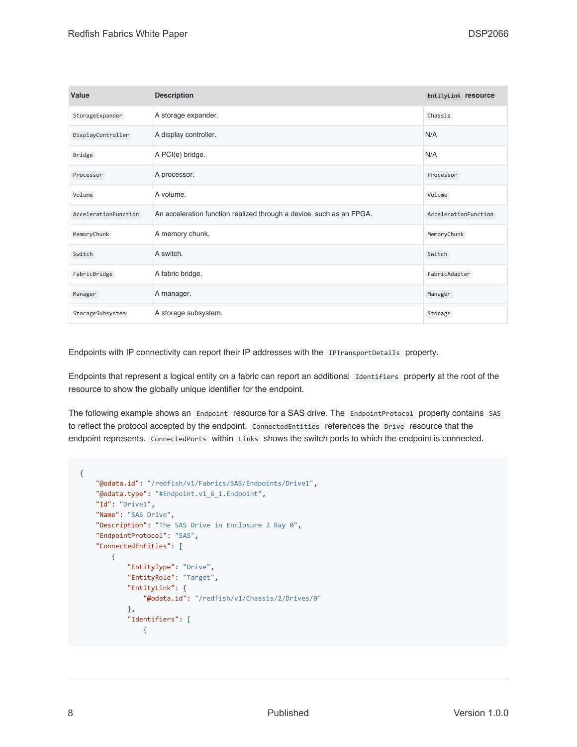| Value                | <b>Description</b>                                                   | EntityLink resource  |
|----------------------|----------------------------------------------------------------------|----------------------|
| StorageExpander      | A storage expander.                                                  | Chassis              |
| DisplayController    | A display controller.                                                | N/A                  |
| Bridge               | A PCI(e) bridge.                                                     | N/A                  |
| Processor            | A processor.                                                         | Processor            |
| Volume               | A volume.                                                            | Volume               |
| AccelerationFunction | An acceleration function realized through a device, such as an FPGA. | AccelerationFunction |
| MemoryChunk          | A memory chunk.                                                      | MemoryChunk          |
| Switch               | A switch.                                                            | Switch               |
| FabricBridge         | A fabric bridge.                                                     | FabricAdapter        |
| Manager              | A manager.                                                           | Manager              |
| StorageSubsystem     | A storage subsystem.                                                 | Storage              |

Endpoints with IP connectivity can report their IP addresses with the IPTransportDetails property.

Endpoints that represent a logical entity on a fabric can report an additional Identifiers property at the root of the resource to show the globally unique identifier for the endpoint.

The following example shows an Endpoint resource for a SAS drive. The EndpointProtocol property contains SAS to reflect the protocol accepted by the endpoint. ConnectedEntities references the Drive resource that the endpoint represents. ConnectedPorts within Links shows the switch ports to which the endpoint is connected.

```
{
    "@odata.id": "/redfish/v1/Fabrics/SAS/Endpoints/Drive1",
    "@odata.type": "#Endpoint.v1_6_1.Endpoint",
    "Id": "Drive1",
    "Name": "SAS Drive",
    "Description": "The SAS Drive in Enclosure 2 Bay 0",
    "EndpointProtocol": "SAS",
    "ConnectedEntities": [
        {
            "EntityType": "Drive",
            "EntityRole": "Target",
            "EntityLink": {
                "@odata.id": "/redfish/v1/Chassis/2/Drives/0"
            },
            "Identifiers": [
                {
```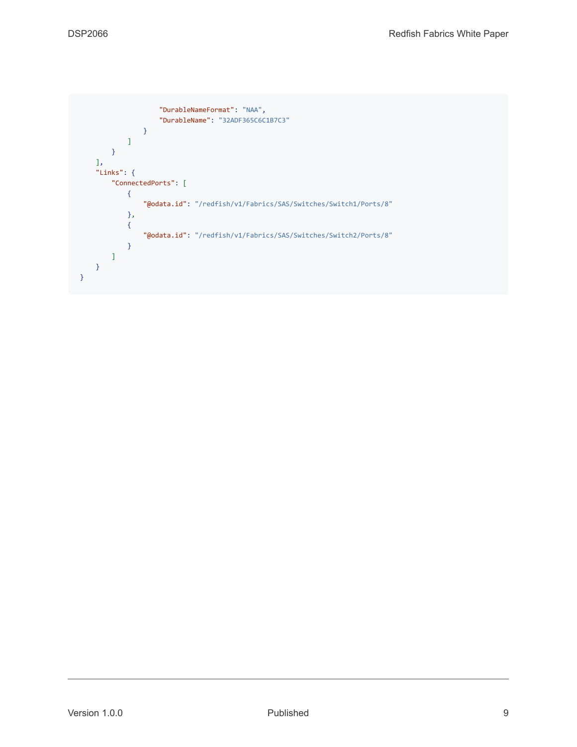```
"DurableNameFormat": "NAA",
                    "DurableName": "32ADF365C6C1B7C3"
               }
           ]
       }
   ],
    "Links": {
        "ConnectedPorts": [
            {
                "@odata.id": "/redfish/v1/Fabrics/SAS/Switches/Switch1/Ports/8"
           },
            {
                "@odata.id": "/redfish/v1/Fabrics/SAS/Switches/Switch2/Ports/8"
            }
        ]
   }
}
```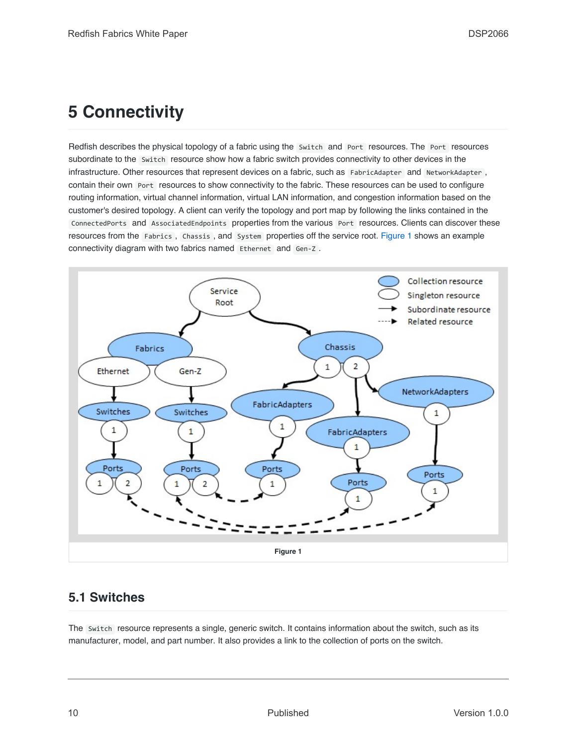## <span id="page-9-0"></span>**5 Connectivity**

Redfish describes the physical topology of a fabric using the Switch and Port resources. The Port resources subordinate to the Switch resource show how a fabric switch provides connectivity to other devices in the infrastructure. Other resources that represent devices on a fabric, such as FabricAdapter and NetworkAdapter, contain their own Port resources to show connectivity to the fabric. These resources can be used to configure routing information, virtual channel information, virtual LAN information, and congestion information based on the customer's desired topology. A client can verify the topology and port map by following the links contained in the ConnectedPorts and AssociatedEndpoints properties from the various Port resources. Clients can discover these resources from the Fabrics , Chassis , and System properties off the service root. [Figure 1](#page-9-2) shows an example connectivity diagram with two fabrics named Ethernet and Gen-Z .



### <span id="page-9-2"></span><span id="page-9-1"></span>**5.1 Switches**

The Switch resource represents a single, generic switch. It contains information about the switch, such as its manufacturer, model, and part number. It also provides a link to the collection of ports on the switch.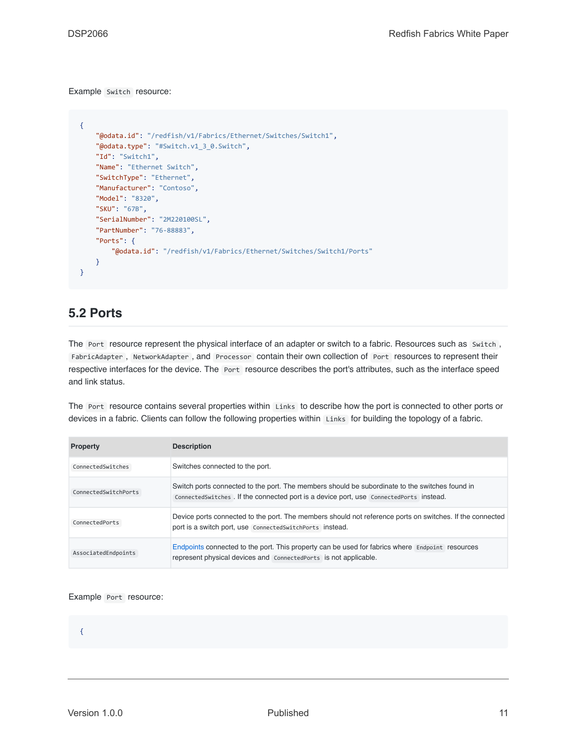#### Example Switch resource:

```
{
    "@odata.id": "/redfish/v1/Fabrics/Ethernet/Switches/Switch1",
   "@odata.type": "#Switch.v1_3_0.Switch",
   "Id": "Switch1",
   "Name": "Ethernet Switch",
    "SwitchType": "Ethernet",
    "Manufacturer": "Contoso",
    "Model": "8320",
    "SKU": "67B",
    "SerialNumber": "2M220100SL",
    "PartNumber": "76-88883",
   "Ports": {
       "@odata.id": "/redfish/v1/Fabrics/Ethernet/Switches/Switch1/Ports"
   }
}
```
#### <span id="page-10-0"></span>**5.2 Ports**

The Port resource represent the physical interface of an adapter or switch to a fabric. Resources such as Switch, FabricAdapter , NetworkAdapter , and Processor contain their own collection of Port resources to represent their respective interfaces for the device. The Port resource describes the port's attributes, such as the interface speed and link status.

The Port resource contains several properties within Links to describe how the port is connected to other ports or devices in a fabric. Clients can follow the following properties within Links for building the topology of a fabric.

| <b>Property</b>      | <b>Description</b>                                                                                                                                                                        |
|----------------------|-------------------------------------------------------------------------------------------------------------------------------------------------------------------------------------------|
| ConnectedSwitches    | Switches connected to the port.                                                                                                                                                           |
| ConnectedSwitchPorts | Switch ports connected to the port. The members should be subordinate to the switches found in<br>ConnectedSwitches . If the connected port is a device port, use ConnectedPorts instead. |
| ConnectedPorts       | Device ports connected to the port. The members should not reference ports on switches. If the connected<br>port is a switch port, use Connected Switch Ports instead.                    |
| AssociatedEndpoints  | Endpoints connected to the port. This property can be used for fabrics where Endpoint resources<br>represent physical devices and ConnectedPorts is not applicable.                       |

#### Example Port resource:

{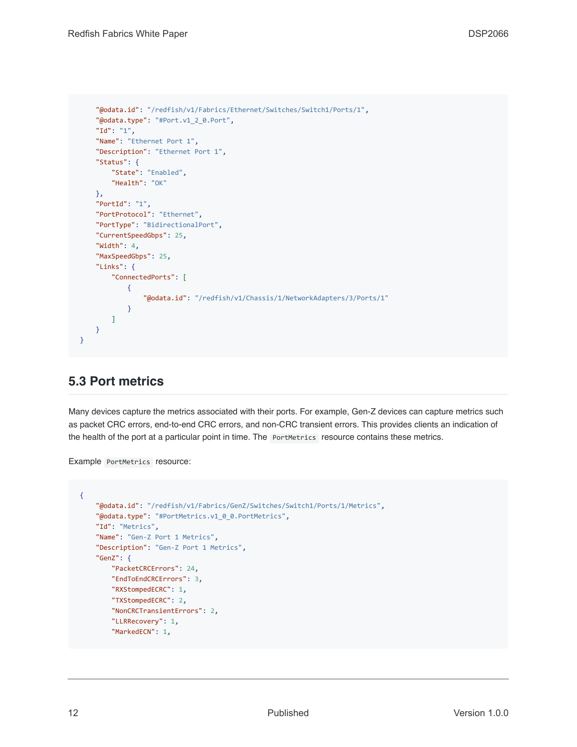```
"@odata.id": "/redfish/v1/Fabrics/Ethernet/Switches/Switch1/Ports/1",
    "@odata.type": "#Port.v1_2_0.Port",
    "Id": "1",
    "Name": "Ethernet Port 1",
    "Description": "Ethernet Port 1",
    "Status": {
        "State": "Enabled",
        "Health": "OK"
    },
    "PortId": "1",
    "PortProtocol": "Ethernet",
    "PortType": "BidirectionalPort",
    "CurrentSpeedGbps": 25,
    "Width": 4,
    "MaxSpeedGbps": 25,
    "Links": {
        "ConnectedPorts": [
           {
                "@odata.id": "/redfish/v1/Chassis/1/NetworkAdapters/3/Ports/1"
            }
        ]
   }
}
```
#### <span id="page-11-0"></span>**5.3 Port metrics**

Many devices capture the metrics associated with their ports. For example, Gen-Z devices can capture metrics such as packet CRC errors, end-to-end CRC errors, and non-CRC transient errors. This provides clients an indication of the health of the port at a particular point in time. The PortMetrics resource contains these metrics.

Example PortMetrics resource:

```
{
    "@odata.id": "/redfish/v1/Fabrics/GenZ/Switches/Switch1/Ports/1/Metrics",
    "@odata.type": "#PortMetrics.v1_0_0.PortMetrics",
    "Id": "Metrics",
    "Name": "Gen-Z Port 1 Metrics",
    "Description": "Gen-Z Port 1 Metrics",
    "GenZ": {
        "PacketCRCErrors": 24,
       "EndToEndCRCErrors": 3,
       "RXStompedECRC": 1,
        "TXStompedECRC": 2,
        "NonCRCTransientErrors": 2,
        "LLRRecovery": 1,
        "MarkedECN": 1,
```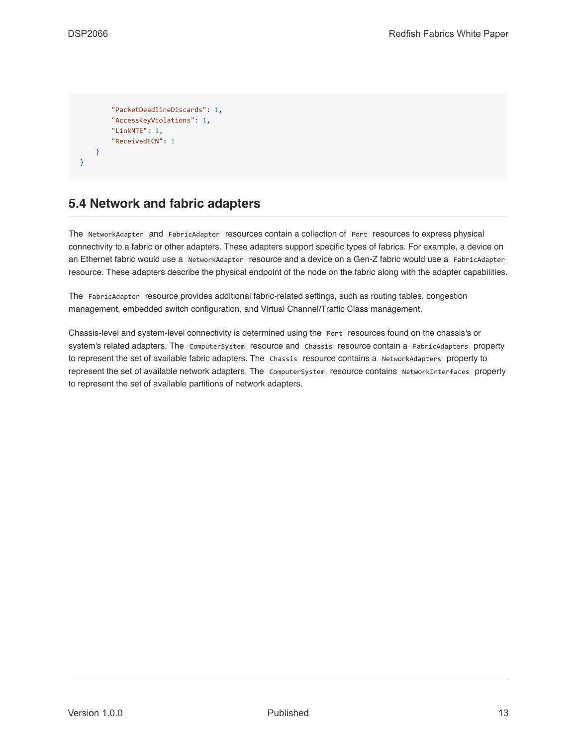```
"PacketDeadlineDiscards": 1,
        "AccessKeyViolations": 1,
        "LinkNTE": 1,
        "ReceivedECN": 1
    }
}
```
#### <span id="page-12-0"></span>**5.4 Network and fabric adapters**

The NetworkAdapter and FabricAdapter resources contain a collection of Port resources to express physical connectivity to a fabric or other adapters. These adapters support specific types of fabrics. For example, a device on an Ethernet fabric would use a NetworkAdapter resource and a device on a Gen-Z fabric would use a FabricAdapter resource. These adapters describe the physical endpoint of the node on the fabric along with the adapter capabilities.

The FabricAdapter resource provides additional fabric-related settings, such as routing tables, congestion management, embedded switch configuration, and Virtual Channel/Traffic Class management.

Chassis-level and system-level connectivity is determined using the Port resources found on the chassis's or system's related adapters. The ComputerSystem resource and Chassis resource contain a FabricAdapters property to represent the set of available fabric adapters. The Chassis resource contains a NetworkAdapters property to represent the set of available network adapters. The ComputerSystem resource contains NetworkInterfaces property to represent the set of available partitions of network adapters.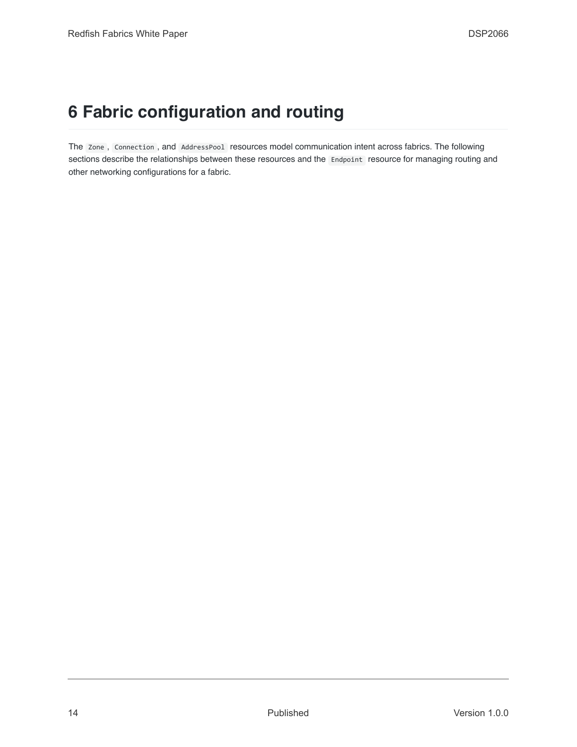### <span id="page-13-0"></span>**6 Fabric configuration and routing**

The Zone , Connection , and AddressPool resources model communication intent across fabrics. The following sections describe the relationships between these resources and the Endpoint resource for managing routing and other networking configurations for a fabric.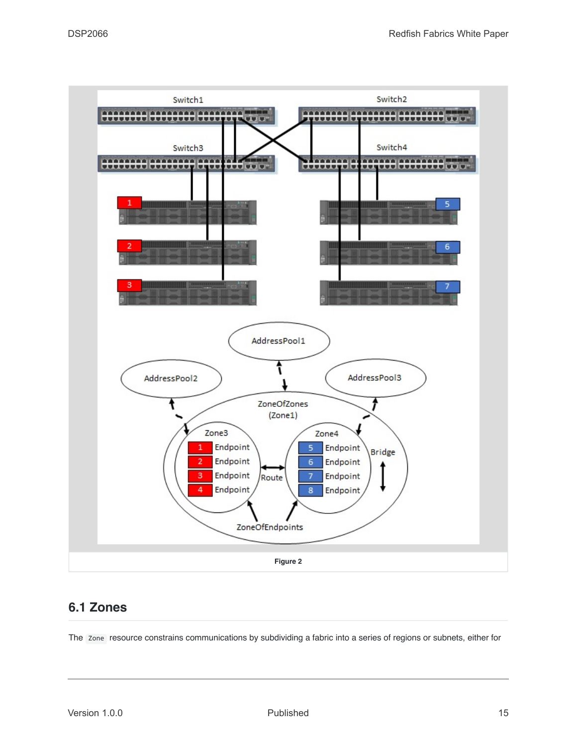

### <span id="page-14-1"></span><span id="page-14-0"></span>**6.1 Zones**

The Zone resource constrains communications by subdividing a fabric into a series of regions or subnets, either for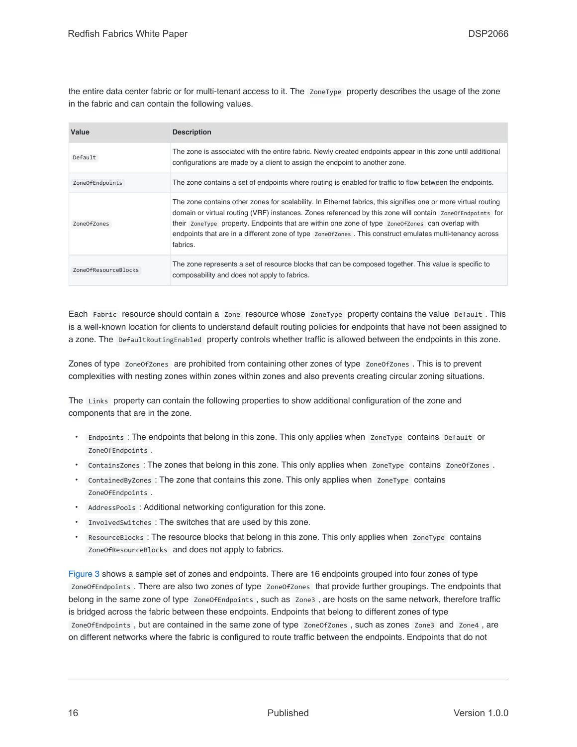the entire data center fabric or for multi-tenant access to it. The ZoneType property describes the usage of the zone in the fabric and can contain the following values.

| Value                | <b>Description</b>                                                                                                                                                                                                                                                                                                                                                                                                                                            |
|----------------------|---------------------------------------------------------------------------------------------------------------------------------------------------------------------------------------------------------------------------------------------------------------------------------------------------------------------------------------------------------------------------------------------------------------------------------------------------------------|
| Default              | The zone is associated with the entire fabric. Newly created endpoints appear in this zone until additional<br>configurations are made by a client to assign the endpoint to another zone.                                                                                                                                                                                                                                                                    |
| ZoneOfEndpoints      | The zone contains a set of endpoints where routing is enabled for traffic to flow between the endpoints.                                                                                                                                                                                                                                                                                                                                                      |
| Zone0fZones          | The zone contains other zones for scalability. In Ethernet fabrics, this signifies one or more virtual routing<br>domain or virtual routing (VRF) instances. Zones referenced by this zone will contain zone of Endpoints for<br>their zoneType property. Endpoints that are within one zone of type zone of zone can overlap with<br>endpoints that are in a different zone of type zone of zone of This construct emulates multi-tenancy across<br>fabrics. |
| ZoneOfResourceBlocks | The zone represents a set of resource blocks that can be composed together. This value is specific to<br>composability and does not apply to fabrics.                                                                                                                                                                                                                                                                                                         |

Each Fabric resource should contain a Zone resource whose ZoneType property contains the value Default . This is a well-known location for clients to understand default routing policies for endpoints that have not been assigned to a zone. The DefaultRoutingEnabled property controls whether traffic is allowed between the endpoints in this zone.

Zones of type zoneOfZones are prohibited from containing other zones of type zoneOfZones. This is to prevent complexities with nesting zones within zones within zones and also prevents creating circular zoning situations.

The Links property can contain the following properties to show additional configuration of the zone and components that are in the zone.

- Endpoints : The endpoints that belong in this zone. This only applies when ZoneType contains Default or ZoneOfEndpoints .
- ContainsZones : The zones that belong in this zone. This only applies when ZoneType contains Zone0fZones.
- ContainedByZones: The zone that contains this zone. This only applies when ZoneType contains ZoneOfEndpoints .
- AddressPools : Additional networking configuration for this zone.
- InvolvedSwitches : The switches that are used by this zone.
- ResourceBlocks : The resource blocks that belong in this zone. This only applies when ZoneType contains ZoneOfResourceBlocks and does not apply to fabrics.

[Figure 3](#page-16-0) shows a sample set of zones and endpoints. There are 16 endpoints grouped into four zones of type ZoneOfEndpoints . There are also two zones of type ZoneOfZones that provide further groupings. The endpoints that belong in the same zone of type ZoneOfEndpoints , such as Zone3 , are hosts on the same network, therefore traffic is bridged across the fabric between these endpoints. Endpoints that belong to different zones of type ZoneOfEndpoints , but are contained in the same zone of type ZoneOfZones , such as zones Zone3 and Zone4 , are on different networks where the fabric is configured to route traffic between the endpoints. Endpoints that do not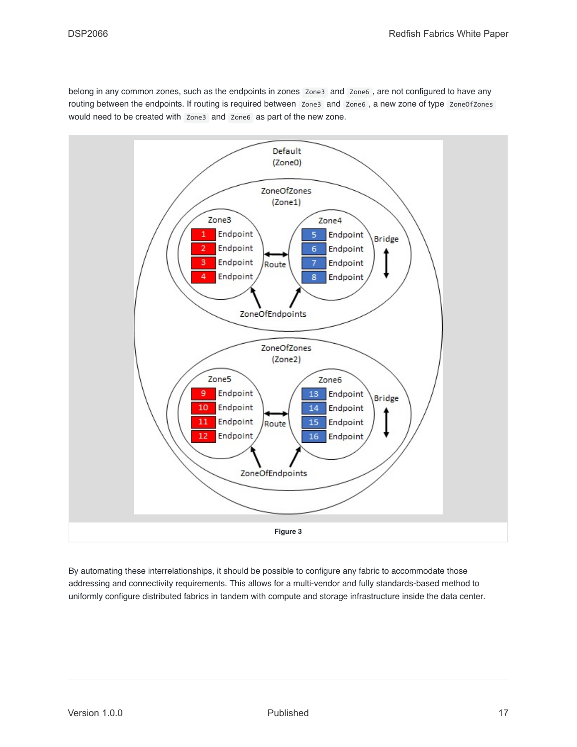belong in any common zones, such as the endpoints in zones Zone3 and Zone6 , are not configured to have any routing between the endpoints. If routing is required between Zone3 and Zone6, a new zone of type ZoneOfZones would need to be created with Zone3 and Zone6 as part of the new zone.



<span id="page-16-0"></span>By automating these interrelationships, it should be possible to configure any fabric to accommodate those addressing and connectivity requirements. This allows for a multi-vendor and fully standards-based method to uniformly configure distributed fabrics in tandem with compute and storage infrastructure inside the data center.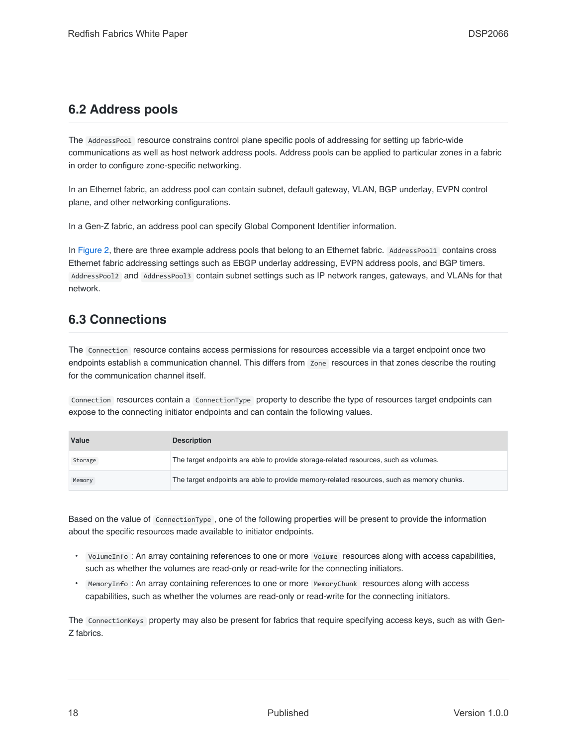#### <span id="page-17-0"></span>**6.2 Address pools**

The AddressPool resource constrains control plane specific pools of addressing for setting up fabric-wide communications as well as host network address pools. Address pools can be applied to particular zones in a fabric in order to configure zone-specific networking.

In an Ethernet fabric, an address pool can contain subnet, default gateway, VLAN, BGP underlay, EVPN control plane, and other networking configurations.

In a Gen-Z fabric, an address pool can specify Global Component Identifier information.

In [Figure 2,](#page-14-1) there are three example address pools that belong to an Ethernet fabric. AddressPool1 contains cross Ethernet fabric addressing settings such as EBGP underlay addressing, EVPN address pools, and BGP timers. AddressPool2 and AddressPool3 contain subnet settings such as IP network ranges, gateways, and VLANs for that network.

#### <span id="page-17-1"></span>**6.3 Connections**

The Connection resource contains access permissions for resources accessible via a target endpoint once two endpoints establish a communication channel. This differs from Zone resources in that zones describe the routing for the communication channel itself.

Connection resources contain a ConnectionType property to describe the type of resources target endpoints can expose to the connecting initiator endpoints and can contain the following values.

| Value   | <b>Description</b>                                                                        |
|---------|-------------------------------------------------------------------------------------------|
| Storage | The target endpoints are able to provide storage-related resources, such as volumes.      |
| Memory  | The target endpoints are able to provide memory-related resources, such as memory chunks. |

Based on the value of ConnectionType , one of the following properties will be present to provide the information about the specific resources made available to initiator endpoints.

- VolumeInfo : An array containing references to one or more Volume resources along with access capabilities, such as whether the volumes are read-only or read-write for the connecting initiators.
- MemoryInfo : An array containing references to one or more MemoryChunk resources along with access capabilities, such as whether the volumes are read-only or read-write for the connecting initiators.

The ConnectionKeys property may also be present for fabrics that require specifying access keys, such as with Gen-Z fabrics.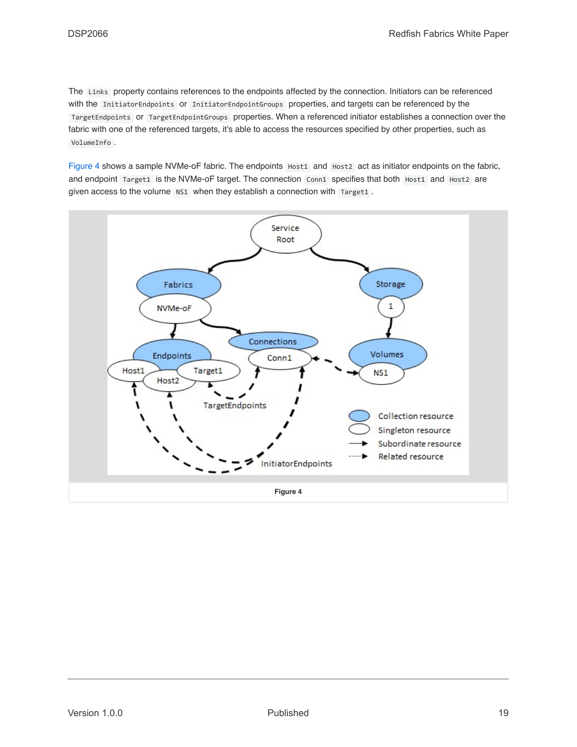The Links property contains references to the endpoints affected by the connection. Initiators can be referenced with the InitiatorEndpoints or InitiatorEndpointGroups properties, and targets can be referenced by the TargetEndpoints or TargetEndpointGroups properties. When a referenced initiator establishes a connection over the fabric with one of the referenced targets, it's able to access the resources specified by other properties, such as VolumeInfo .

[Figure 4](#page-18-0) shows a sample NVMe-oF fabric. The endpoints Host1 and Host2 act as initiator endpoints on the fabric, and endpoint Target1 is the NVMe-oF target. The connection Conn1 specifies that both Host1 and Host2 are given access to the volume NS1 when they establish a connection with Target1.

<span id="page-18-0"></span>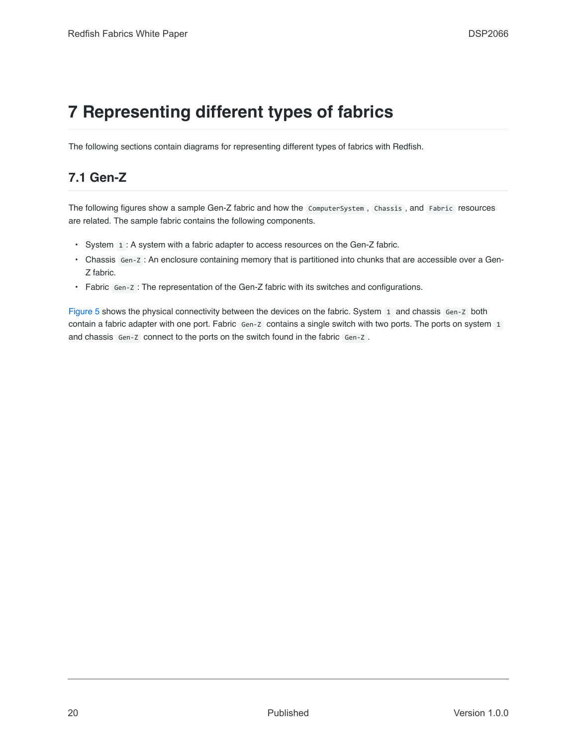### <span id="page-19-0"></span>**7 Representing different types of fabrics**

The following sections contain diagrams for representing different types of fabrics with Redfish.

### <span id="page-19-1"></span>**7.1 Gen-Z**

The following figures show a sample Gen-Z fabric and how the ComputerSystem , Chassis , and Fabric resources are related. The sample fabric contains the following components.

- System  $\overline{1}$ : A system with a fabric adapter to access resources on the Gen-Z fabric.
- Chassis Gen-Z : An enclosure containing memory that is partitioned into chunks that are accessible over a Gen-Z fabric.
- Fabric Gen-Z : The representation of the Gen-Z fabric with its switches and configurations.

[Figure 5](#page-20-0) shows the physical connectivity between the devices on the fabric. System 1 and chassis Gen-Z both contain a fabric adapter with one port. Fabric Gen-Z contains a single switch with two ports. The ports on system 1 and chassis Gen-Z connect to the ports on the switch found in the fabric Gen-Z.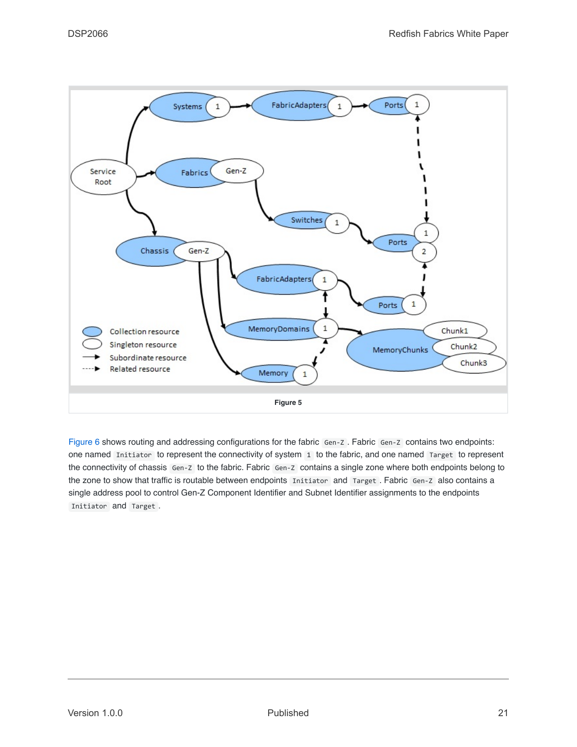

<span id="page-20-0"></span>[Figure 6](#page-21-0) shows routing and addressing configurations for the fabric Gen-Z . Fabric Gen-Z contains two endpoints: one named Initiator to represent the connectivity of system 1 to the fabric, and one named Target to represent the connectivity of chassis Gen-Z to the fabric. Fabric Gen-Z contains a single zone where both endpoints belong to the zone to show that traffic is routable between endpoints Initiator and Target . Fabric Gen-Z also contains a single address pool to control Gen-Z Component Identifier and Subnet Identifier assignments to the endpoints Initiator and Target .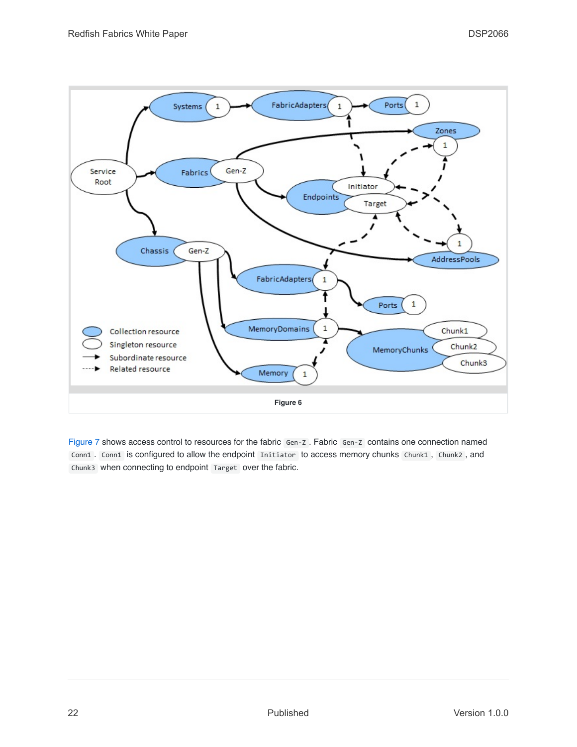

<span id="page-21-0"></span>[Figure 7](#page-22-1) shows access control to resources for the fabric Gen-Z . Fabric Gen-Z contains one connection named Conn1 . Conn1 is configured to allow the endpoint Initiator to access memory chunks Chunk1, Chunk2, and Chunk3 when connecting to endpoint Target over the fabric.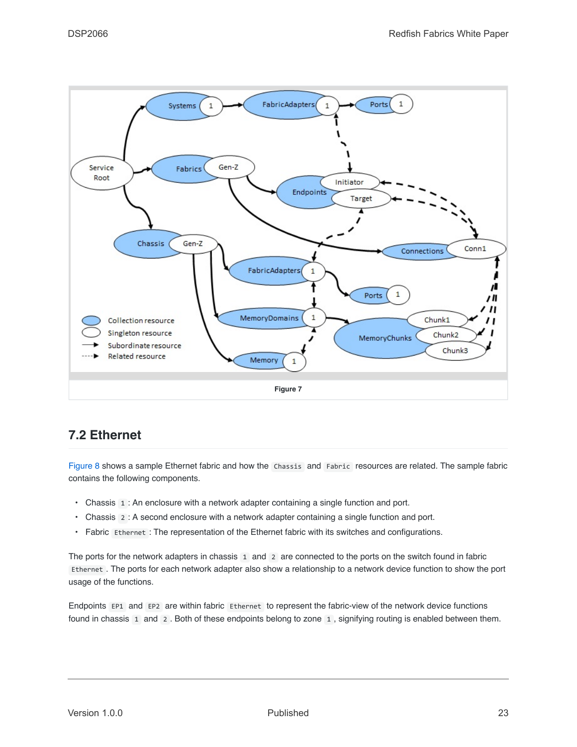

### <span id="page-22-1"></span><span id="page-22-0"></span>**7.2 Ethernet**

[Figure 8](#page-23-1) shows a sample Ethernet fabric and how the Chassis and Fabric resources are related. The sample fabric contains the following components.

- Chassis 1 : An enclosure with a network adapter containing a single function and port.
- Chassis 2 : A second enclosure with a network adapter containing a single function and port.
- Fabric Ethernet : The representation of the Ethernet fabric with its switches and configurations.

The ports for the network adapters in chassis 1 and 2 are connected to the ports on the switch found in fabric Ethernet . The ports for each network adapter also show a relationship to a network device function to show the port usage of the functions.

Endpoints EP1 and EP2 are within fabric Ethernet to represent the fabric-view of the network device functions found in chassis 1 and 2 . Both of these endpoints belong to zone 1 , signifying routing is enabled between them.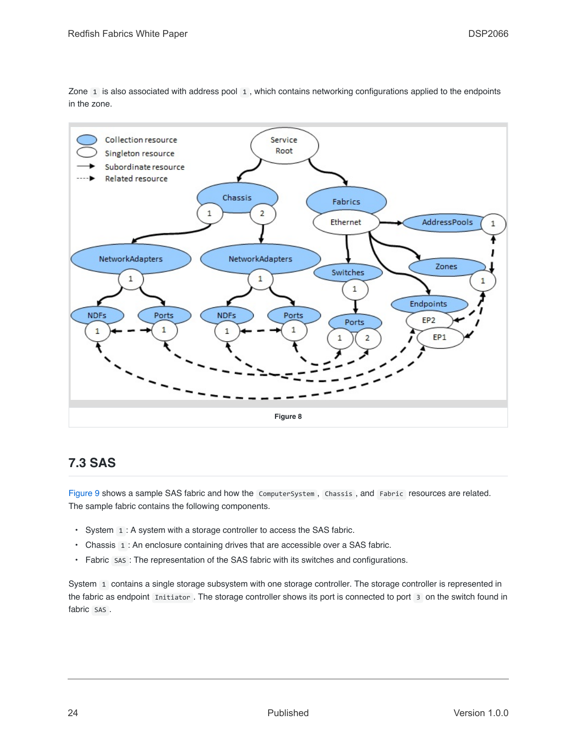Zone 1 is also associated with address pool 1 , which contains networking configurations applied to the endpoints in the zone.



### <span id="page-23-1"></span><span id="page-23-0"></span>**7.3 SAS**

[Figure 9](#page-24-1) shows a sample SAS fabric and how the ComputerSystem , Chassis , and Fabric resources are related. The sample fabric contains the following components.

- System 1 : A system with a storage controller to access the SAS fabric.
- Chassis 1 : An enclosure containing drives that are accessible over a SAS fabric.
- Fabric SAS : The representation of the SAS fabric with its switches and configurations.

System 1 contains a single storage subsystem with one storage controller. The storage controller is represented in the fabric as endpoint Initiator . The storage controller shows its port is connected to port 3 on the switch found in fabric SAS .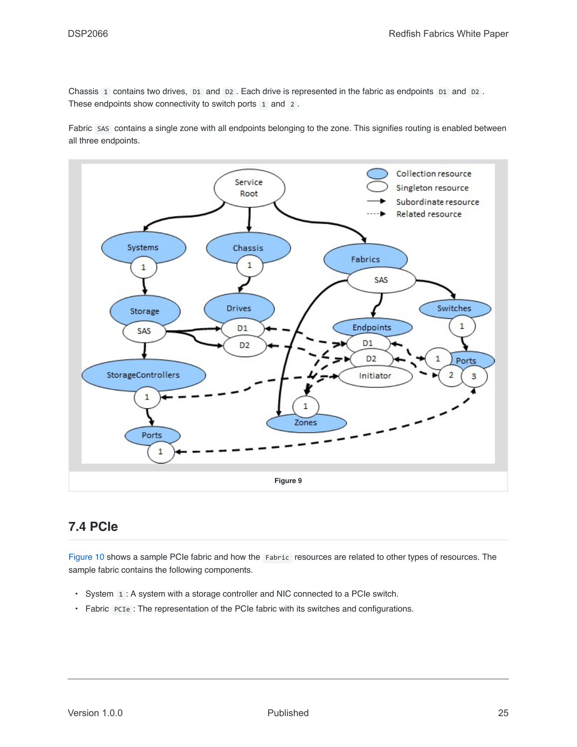Chassis 1 contains two drives, D1 and D2. Each drive is represented in the fabric as endpoints D1 and D2. These endpoints show connectivity to switch ports 1 and 2.

Fabric SAS contains a single zone with all endpoints belonging to the zone. This signifies routing is enabled between all three endpoints.



#### <span id="page-24-1"></span><span id="page-24-0"></span>**7.4 PCIe**

[Figure 10](#page-25-0) shows a sample PCIe fabric and how the Fabric resources are related to other types of resources. The sample fabric contains the following components.

- System 1 : A system with a storage controller and NIC connected to a PCIe switch.
- Fabric PCIe : The representation of the PCIe fabric with its switches and configurations.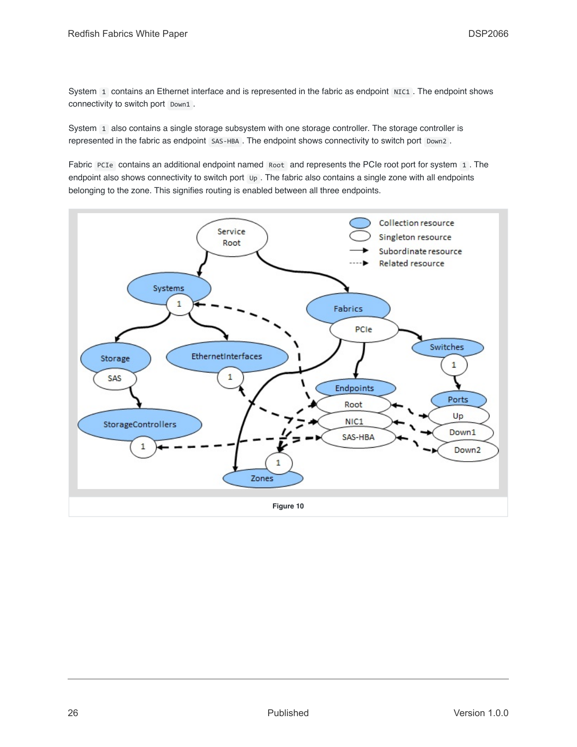System 1 contains an Ethernet interface and is represented in the fabric as endpoint NIC1. The endpoint shows connectivity to switch port Down1.

System 1 also contains a single storage subsystem with one storage controller. The storage controller is represented in the fabric as endpoint SAS-HBA . The endpoint shows connectivity to switch port Down2 .

Fabric PCIe contains an additional endpoint named Root and represents the PCIe root port for system 1. The endpoint also shows connectivity to switch port  $\mu$ . The fabric also contains a single zone with all endpoints belonging to the zone. This signifies routing is enabled between all three endpoints.

<span id="page-25-0"></span>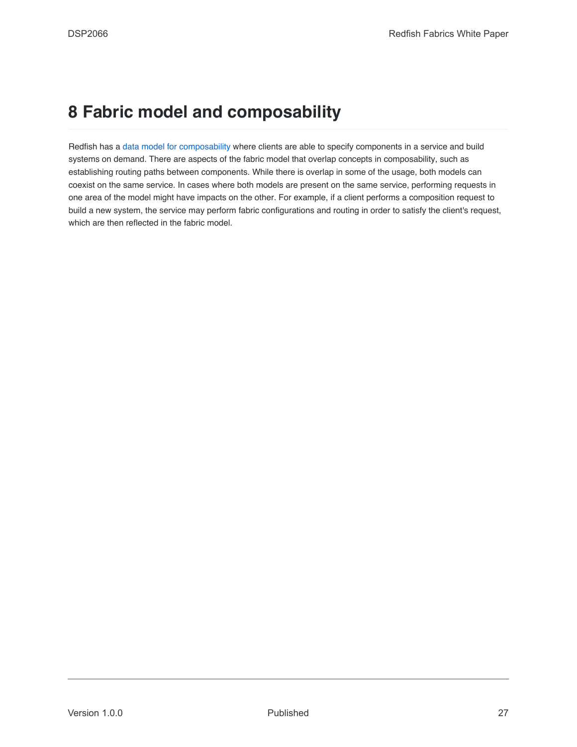### <span id="page-26-0"></span>**8 Fabric model and composability**

Redfish has a [data model for composability](#page-27-1) where clients are able to specify components in a service and build systems on demand. There are aspects of the fabric model that overlap concepts in composability, such as establishing routing paths between components. While there is overlap in some of the usage, both models can coexist on the same service. In cases where both models are present on the same service, performing requests in one area of the model might have impacts on the other. For example, if a client performs a composition request to build a new system, the service may perform fabric configurations and routing in order to satisfy the client's request, which are then reflected in the fabric model.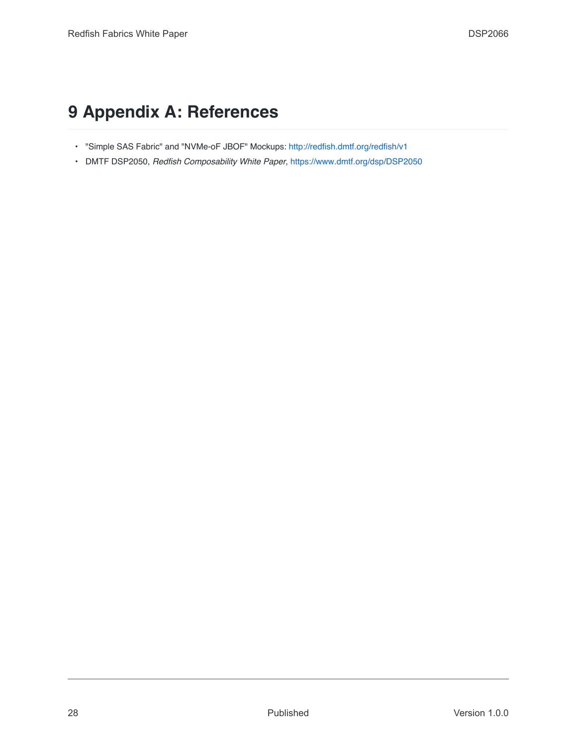### <span id="page-27-0"></span>**9 Appendix A: References**

- "Simple SAS Fabric" and "NVMe-oF JBOF" Mockups: <http://redfish.dmtf.org/redfish/v1>
- <span id="page-27-1"></span>• DMTF DSP2050, *Redfish Composability White Paper*, <https://www.dmtf.org/dsp/DSP2050>